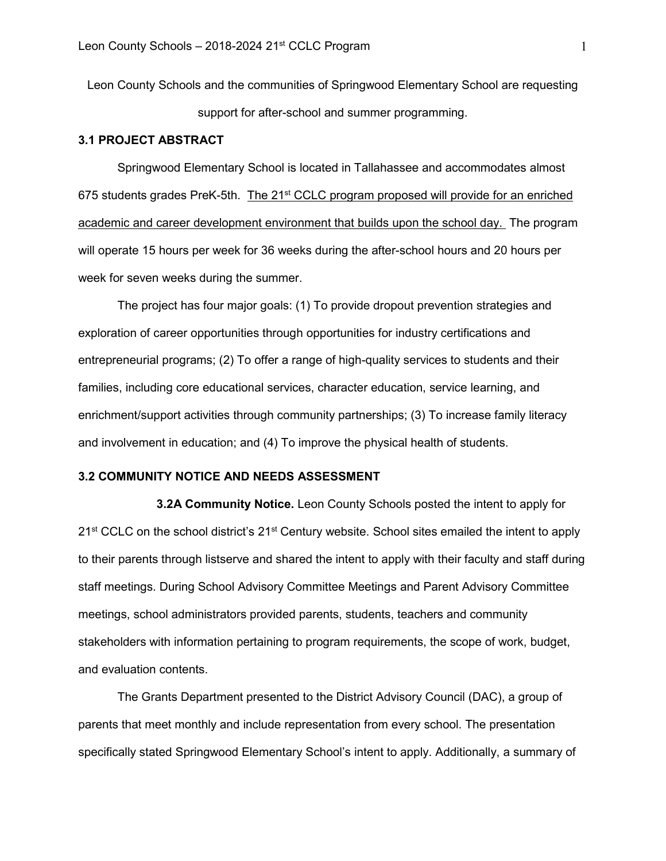Leon County Schools and the communities of Springwood Elementary School are requesting support for after-school and summer programming.

### **3.1 PROJECT ABSTRACT**

Springwood Elementary School is located in Tallahassee and accommodates almost 675 students grades PreK-5th. The 21<sup>st</sup> CCLC program proposed will provide for an enriched academic and career development environment that builds upon the school day. The program will operate 15 hours per week for 36 weeks during the after-school hours and 20 hours per week for seven weeks during the summer.

The project has four major goals: (1) To provide dropout prevention strategies and exploration of career opportunities through opportunities for industry certifications and entrepreneurial programs; (2) To offer a range of high-quality services to students and their families, including core educational services, character education, service learning, and enrichment/support activities through community partnerships; (3) To increase family literacy and involvement in education; and (4) To improve the physical health of students.

### **3.2 COMMUNITY NOTICE AND NEEDS ASSESSMENT**

**3.2A Community Notice.** Leon County Schools posted the intent to apply for 21<sup>st</sup> CCLC on the school district's 21<sup>st</sup> Century website. School sites emailed the intent to apply to their parents through listserve and shared the intent to apply with their faculty and staff during staff meetings. During School Advisory Committee Meetings and Parent Advisory Committee meetings, school administrators provided parents, students, teachers and community stakeholders with information pertaining to program requirements, the scope of work, budget, and evaluation contents.

The Grants Department presented to the District Advisory Council (DAC), a group of parents that meet monthly and include representation from every school. The presentation specifically stated Springwood Elementary School's intent to apply. Additionally, a summary of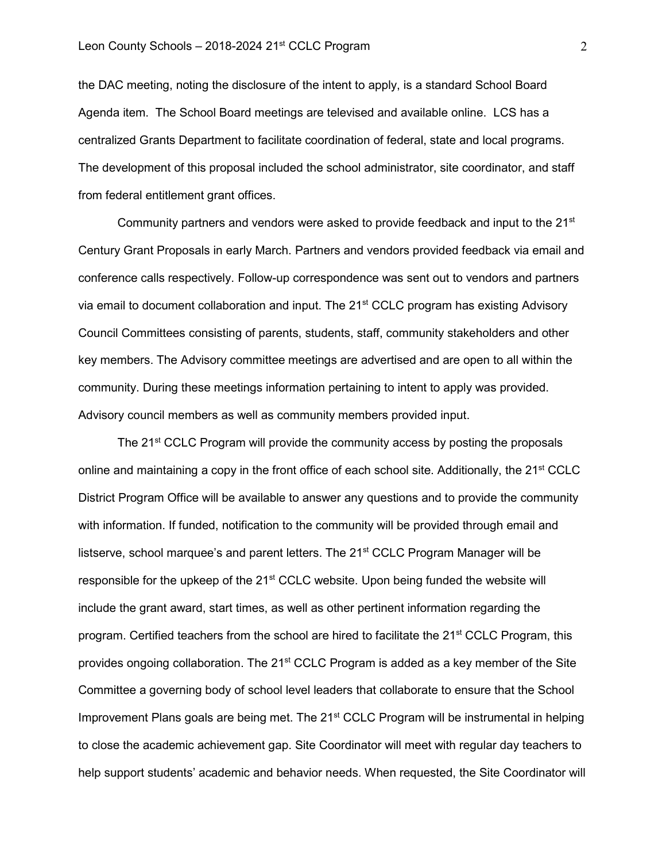the DAC meeting, noting the disclosure of the intent to apply, is a standard School Board Agenda item. The School Board meetings are televised and available online. LCS has a centralized Grants Department to facilitate coordination of federal, state and local programs. The development of this proposal included the school administrator, site coordinator, and staff from federal entitlement grant offices.

Community partners and vendors were asked to provide feedback and input to the  $21<sup>st</sup>$ Century Grant Proposals in early March. Partners and vendors provided feedback via email and conference calls respectively. Follow-up correspondence was sent out to vendors and partners via email to document collaboration and input. The 21<sup>st</sup> CCLC program has existing Advisory Council Committees consisting of parents, students, staff, community stakeholders and other key members. The Advisory committee meetings are advertised and are open to all within the community. During these meetings information pertaining to intent to apply was provided. Advisory council members as well as community members provided input.

The 21<sup>st</sup> CCLC Program will provide the community access by posting the proposals online and maintaining a copy in the front office of each school site. Additionally, the  $21<sup>st</sup> CCLC$ District Program Office will be available to answer any questions and to provide the community with information. If funded, notification to the community will be provided through email and listserve, school marquee's and parent letters. The  $21<sup>st</sup>$  CCLC Program Manager will be responsible for the upkeep of the 21<sup>st</sup> CCLC website. Upon being funded the website will include the grant award, start times, as well as other pertinent information regarding the program. Certified teachers from the school are hired to facilitate the  $21<sup>st</sup>$  CCLC Program, this provides ongoing collaboration. The 21<sup>st</sup> CCLC Program is added as a key member of the Site Committee a governing body of school level leaders that collaborate to ensure that the School Improvement Plans goals are being met. The 21<sup>st</sup> CCLC Program will be instrumental in helping to close the academic achievement gap. Site Coordinator will meet with regular day teachers to help support students' academic and behavior needs. When requested, the Site Coordinator will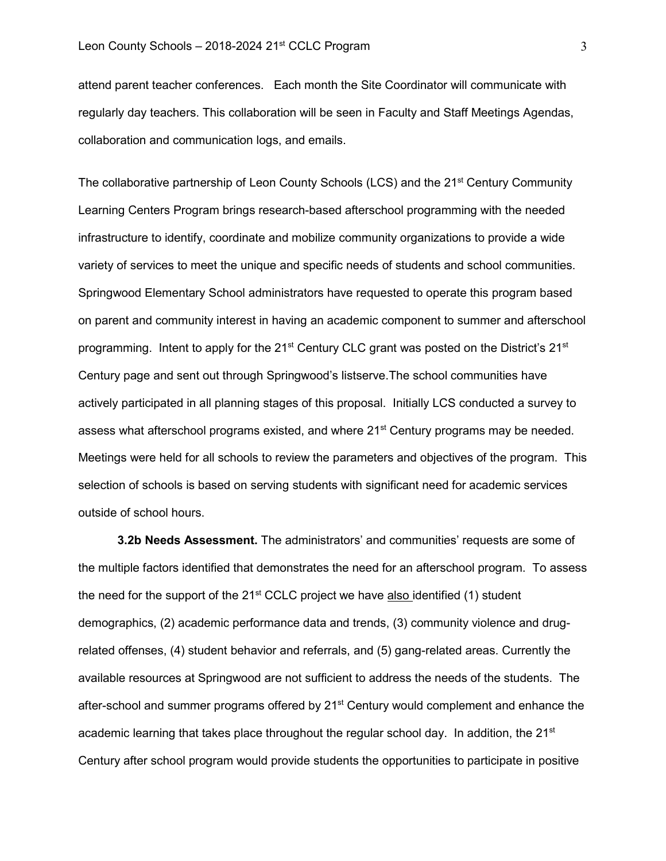attend parent teacher conferences. Each month the Site Coordinator will communicate with regularly day teachers. This collaboration will be seen in Faculty and Staff Meetings Agendas, collaboration and communication logs, and emails.

The collaborative partnership of Leon County Schools (LCS) and the 21<sup>st</sup> Century Community Learning Centers Program brings research-based afterschool programming with the needed infrastructure to identify, coordinate and mobilize community organizations to provide a wide variety of services to meet the unique and specific needs of students and school communities. Springwood Elementary School administrators have requested to operate this program based on parent and community interest in having an academic component to summer and afterschool programming. Intent to apply for the  $21^{st}$  Century CLC grant was posted on the District's  $21^{st}$ Century page and sent out through Springwood's listserve.The school communities have actively participated in all planning stages of this proposal. Initially LCS conducted a survey to assess what afterschool programs existed, and where 21<sup>st</sup> Century programs may be needed. Meetings were held for all schools to review the parameters and objectives of the program. This selection of schools is based on serving students with significant need for academic services outside of school hours.

**3.2b Needs Assessment.** The administrators' and communities' requests are some of the multiple factors identified that demonstrates the need for an afterschool program. To assess the need for the support of the  $21<sup>st</sup>$  CCLC project we have also identified (1) student demographics, (2) academic performance data and trends, (3) community violence and drugrelated offenses, (4) student behavior and referrals, and (5) gang-related areas. Currently the available resources at Springwood are not sufficient to address the needs of the students. The after-school and summer programs offered by 21<sup>st</sup> Century would complement and enhance the academic learning that takes place throughout the regular school day. In addition, the  $21<sup>st</sup>$ Century after school program would provide students the opportunities to participate in positive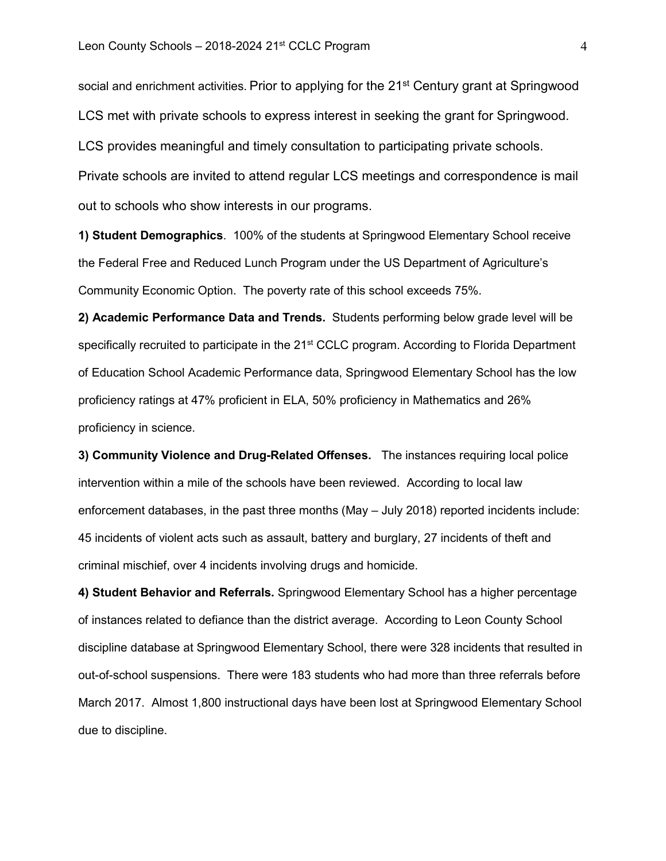social and enrichment activities. Prior to applying for the 21<sup>st</sup> Century grant at Springwood LCS met with private schools to express interest in seeking the grant for Springwood. LCS provides meaningful and timely consultation to participating private schools. Private schools are invited to attend regular LCS meetings and correspondence is mail out to schools who show interests in our programs.

**1) Student Demographics**. 100% of the students at Springwood Elementary School receive the Federal Free and Reduced Lunch Program under the US Department of Agriculture's Community Economic Option. The poverty rate of this school exceeds 75%.

**2) Academic Performance Data and Trends.** Students performing below grade level will be specifically recruited to participate in the 21<sup>st</sup> CCLC program. According to Florida Department of Education School Academic Performance data, Springwood Elementary School has the low proficiency ratings at 47% proficient in ELA, 50% proficiency in Mathematics and 26% proficiency in science.

**3) Community Violence and Drug-Related Offenses.** The instances requiring local police intervention within a mile of the schools have been reviewed. According to local law enforcement databases, in the past three months (May – July 2018) reported incidents include: 45 incidents of violent acts such as assault, battery and burglary, 27 incidents of theft and criminal mischief, over 4 incidents involving drugs and homicide.

**4) Student Behavior and Referrals.** Springwood Elementary School has a higher percentage of instances related to defiance than the district average. According to Leon County School discipline database at Springwood Elementary School, there were 328 incidents that resulted in out-of-school suspensions. There were 183 students who had more than three referrals before March 2017. Almost 1,800 instructional days have been lost at Springwood Elementary School due to discipline.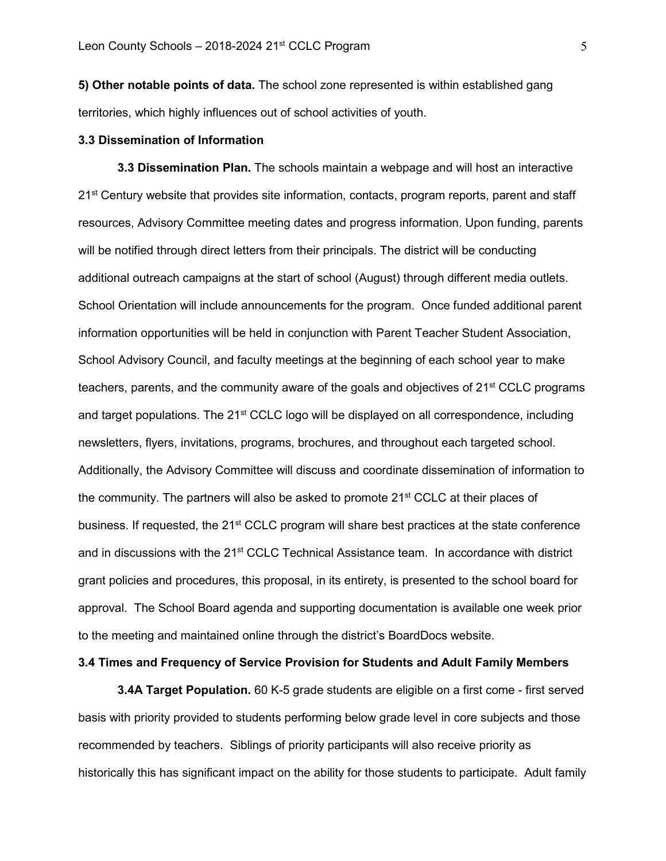**5) Other notable points of data.** The school zone represented is within established gang territories, which highly influences out of school activities of youth.

#### **3.3 Dissemination of Information**

**3.3 Dissemination Plan.** The schools maintain a webpage and will host an interactive 21<sup>st</sup> Century website that provides site information, contacts, program reports, parent and staff resources, Advisory Committee meeting dates and progress information. Upon funding, parents will be notified through direct letters from their principals. The district will be conducting additional outreach campaigns at the start of school (August) through different media outlets. School Orientation will include announcements for the program. Once funded additional parent information opportunities will be held in conjunction with Parent Teacher Student Association, School Advisory Council, and faculty meetings at the beginning of each school year to make teachers, parents, and the community aware of the goals and objectives of 21<sup>st</sup> CCLC programs and target populations. The  $21<sup>st</sup>$  CCLC logo will be displayed on all correspondence, including newsletters, flyers, invitations, programs, brochures, and throughout each targeted school. Additionally, the Advisory Committee will discuss and coordinate dissemination of information to the community. The partners will also be asked to promote  $21<sup>st</sup>$  CCLC at their places of business. If requested, the 21<sup>st</sup> CCLC program will share best practices at the state conference and in discussions with the 21<sup>st</sup> CCLC Technical Assistance team. In accordance with district grant policies and procedures, this proposal, in its entirety, is presented to the school board for approval. The School Board agenda and supporting documentation is available one week prior to the meeting and maintained online through the district's BoardDocs website.

### **3.4 Times and Frequency of Service Provision for Students and Adult Family Members**

**3.4A Target Population.** 60 K-5 grade students are eligible on a first come - first served basis with priority provided to students performing below grade level in core subjects and those recommended by teachers. Siblings of priority participants will also receive priority as historically this has significant impact on the ability for those students to participate. Adult family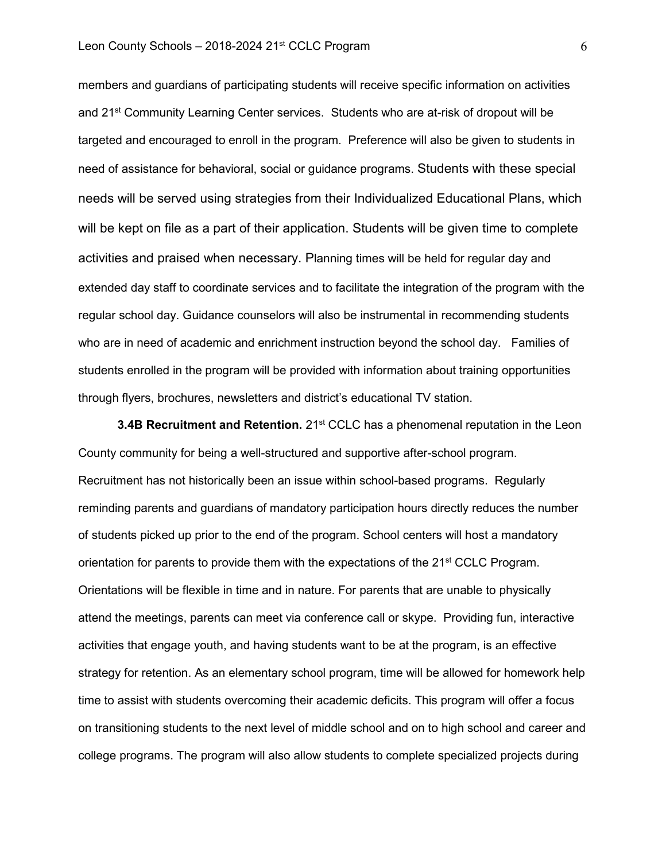#### Leon County Schools  $-$  2018-2024 21st CCLC Program 6

members and guardians of participating students will receive specific information on activities and 21<sup>st</sup> Community Learning Center services. Students who are at-risk of dropout will be targeted and encouraged to enroll in the program. Preference will also be given to students in need of assistance for behavioral, social or guidance programs. Students with these special needs will be served using strategies from their Individualized Educational Plans, which will be kept on file as a part of their application. Students will be given time to complete activities and praised when necessary. Planning times will be held for regular day and extended day staff to coordinate services and to facilitate the integration of the program with the regular school day. Guidance counselors will also be instrumental in recommending students who are in need of academic and enrichment instruction beyond the school day. Families of students enrolled in the program will be provided with information about training opportunities through flyers, brochures, newsletters and district's educational TV station.

**3.4B Recruitment and Retention.** 21<sup>st</sup> CCLC has a phenomenal reputation in the Leon County community for being a well-structured and supportive after-school program. Recruitment has not historically been an issue within school-based programs. Regularly reminding parents and guardians of mandatory participation hours directly reduces the number of students picked up prior to the end of the program. School centers will host a mandatory orientation for parents to provide them with the expectations of the  $21<sup>st</sup>$  CCLC Program. Orientations will be flexible in time and in nature. For parents that are unable to physically attend the meetings, parents can meet via conference call or skype. Providing fun, interactive activities that engage youth, and having students want to be at the program, is an effective strategy for retention. As an elementary school program, time will be allowed for homework help time to assist with students overcoming their academic deficits. This program will offer a focus on transitioning students to the next level of middle school and on to high school and career and college programs. The program will also allow students to complete specialized projects during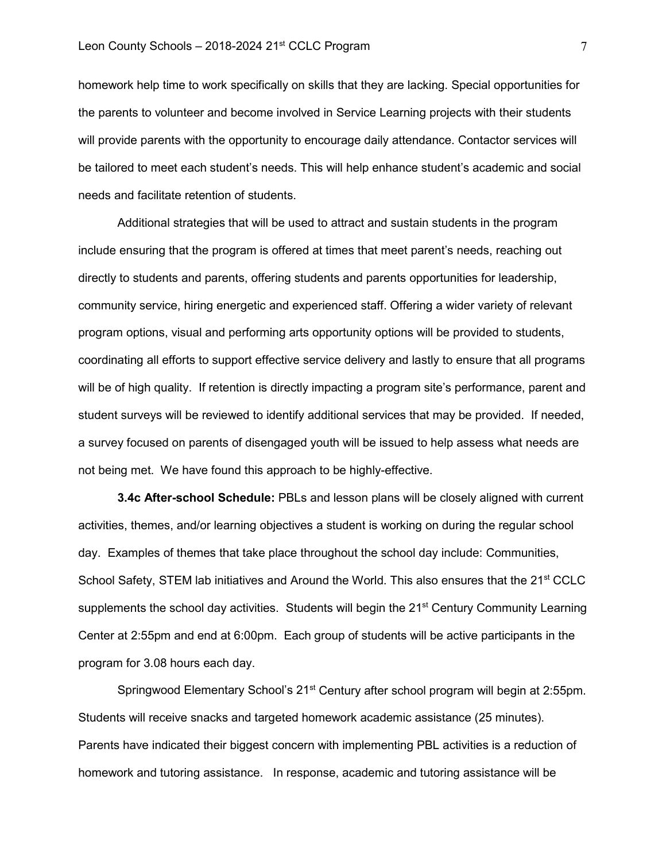homework help time to work specifically on skills that they are lacking. Special opportunities for the parents to volunteer and become involved in Service Learning projects with their students will provide parents with the opportunity to encourage daily attendance. Contactor services will be tailored to meet each student's needs. This will help enhance student's academic and social needs and facilitate retention of students.

Additional strategies that will be used to attract and sustain students in the program include ensuring that the program is offered at times that meet parent's needs, reaching out directly to students and parents, offering students and parents opportunities for leadership, community service, hiring energetic and experienced staff. Offering a wider variety of relevant program options, visual and performing arts opportunity options will be provided to students, coordinating all efforts to support effective service delivery and lastly to ensure that all programs will be of high quality. If retention is directly impacting a program site's performance, parent and student surveys will be reviewed to identify additional services that may be provided. If needed, a survey focused on parents of disengaged youth will be issued to help assess what needs are not being met. We have found this approach to be highly-effective.

**3.4c After-school Schedule:** PBLs and lesson plans will be closely aligned with current activities, themes, and/or learning objectives a student is working on during the regular school day. Examples of themes that take place throughout the school day include: Communities, School Safety, STEM lab initiatives and Around the World. This also ensures that the 21<sup>st</sup> CCLC supplements the school day activities. Students will begin the 21<sup>st</sup> Century Community Learning Center at 2:55pm and end at 6:00pm. Each group of students will be active participants in the program for 3.08 hours each day.

Springwood Elementary School's 21<sup>st</sup> Century after school program will begin at 2:55pm. Students will receive snacks and targeted homework academic assistance (25 minutes). Parents have indicated their biggest concern with implementing PBL activities is a reduction of homework and tutoring assistance. In response, academic and tutoring assistance will be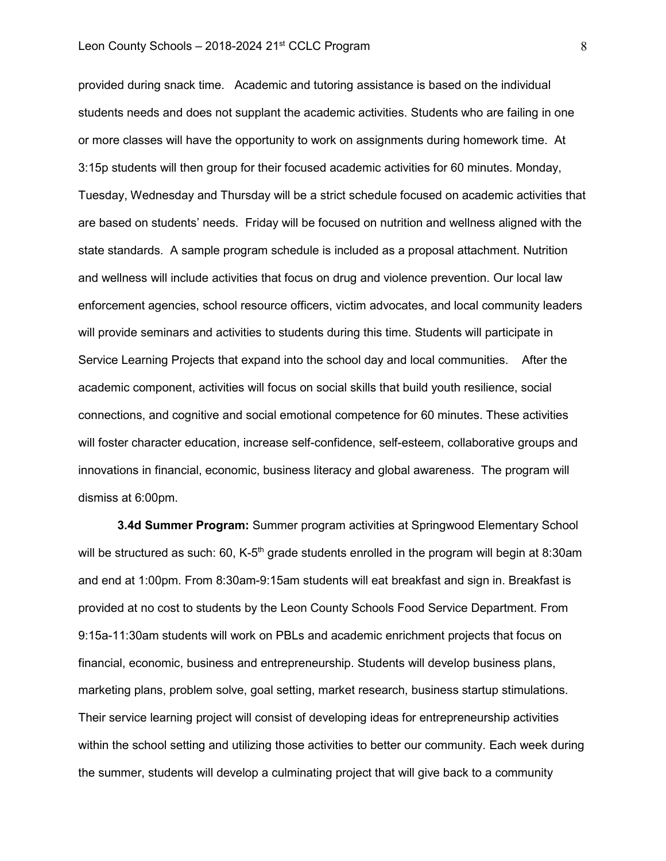# Leon County Schools – 2018-2024 21<sup>st</sup> CCLC Program 8

provided during snack time. Academic and tutoring assistance is based on the individual students needs and does not supplant the academic activities. Students who are failing in one or more classes will have the opportunity to work on assignments during homework time. At 3:15p students will then group for their focused academic activities for 60 minutes. Monday, Tuesday, Wednesday and Thursday will be a strict schedule focused on academic activities that are based on students' needs. Friday will be focused on nutrition and wellness aligned with the state standards. A sample program schedule is included as a proposal attachment. Nutrition and wellness will include activities that focus on drug and violence prevention. Our local law enforcement agencies, school resource officers, victim advocates, and local community leaders will provide seminars and activities to students during this time. Students will participate in Service Learning Projects that expand into the school day and local communities. After the academic component, activities will focus on social skills that build youth resilience, social connections, and cognitive and social emotional competence for 60 minutes. These activities will foster character education, increase self-confidence, self-esteem, collaborative groups and innovations in financial, economic, business literacy and global awareness. The program will dismiss at 6:00pm.

**3.4d Summer Program:** Summer program activities at Springwood Elementary School will be structured as such: 60, K-5<sup>th</sup> grade students enrolled in the program will begin at 8:30am and end at 1:00pm. From 8:30am-9:15am students will eat breakfast and sign in. Breakfast is provided at no cost to students by the Leon County Schools Food Service Department. From 9:15a-11:30am students will work on PBLs and academic enrichment projects that focus on financial, economic, business and entrepreneurship. Students will develop business plans, marketing plans, problem solve, goal setting, market research, business startup stimulations. Their service learning project will consist of developing ideas for entrepreneurship activities within the school setting and utilizing those activities to better our community. Each week during the summer, students will develop a culminating project that will give back to a community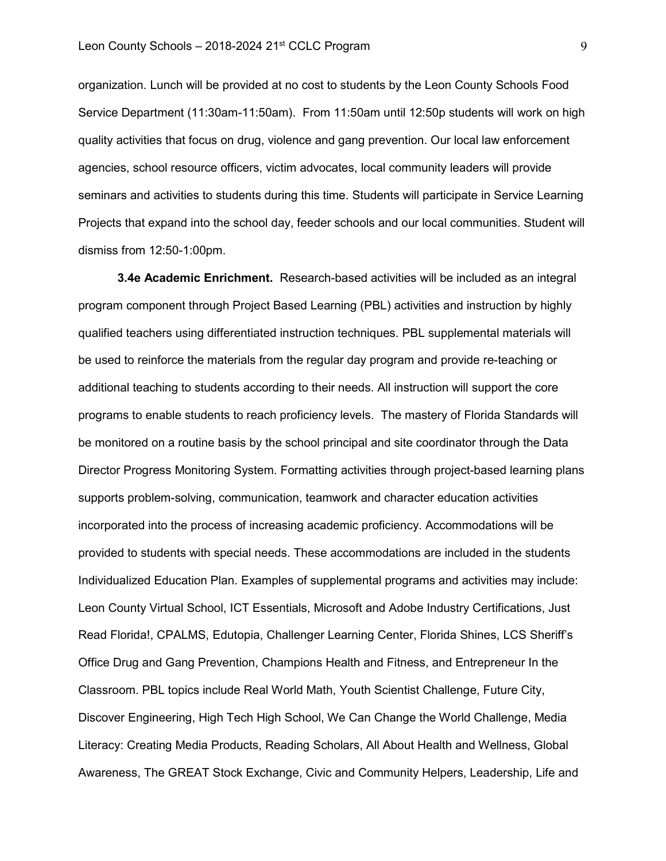organization. Lunch will be provided at no cost to students by the Leon County Schools Food Service Department (11:30am-11:50am). From 11:50am until 12:50p students will work on high quality activities that focus on drug, violence and gang prevention. Our local law enforcement agencies, school resource officers, victim advocates, local community leaders will provide seminars and activities to students during this time. Students will participate in Service Learning Projects that expand into the school day, feeder schools and our local communities. Student will dismiss from 12:50-1:00pm.

**3.4e Academic Enrichment.** Research-based activities will be included as an integral program component through Project Based Learning (PBL) activities and instruction by highly qualified teachers using differentiated instruction techniques. PBL supplemental materials will be used to reinforce the materials from the regular day program and provide re-teaching or additional teaching to students according to their needs. All instruction will support the core programs to enable students to reach proficiency levels. The mastery of Florida Standards will be monitored on a routine basis by the school principal and site coordinator through the Data Director Progress Monitoring System. Formatting activities through project-based learning plans supports problem-solving, communication, teamwork and character education activities incorporated into the process of increasing academic proficiency. Accommodations will be provided to students with special needs. These accommodations are included in the students Individualized Education Plan. Examples of supplemental programs and activities may include: Leon County Virtual School, ICT Essentials, Microsoft and Adobe Industry Certifications, Just Read Florida!, CPALMS, Edutopia, Challenger Learning Center, Florida Shines, LCS Sheriff's Office Drug and Gang Prevention, Champions Health and Fitness, and Entrepreneur In the Classroom. PBL topics include Real World Math, Youth Scientist Challenge, Future City, Discover Engineering, High Tech High School, We Can Change the World Challenge, Media Literacy: Creating Media Products, Reading Scholars, All About Health and Wellness, Global Awareness, The GREAT Stock Exchange, Civic and Community Helpers, Leadership, Life and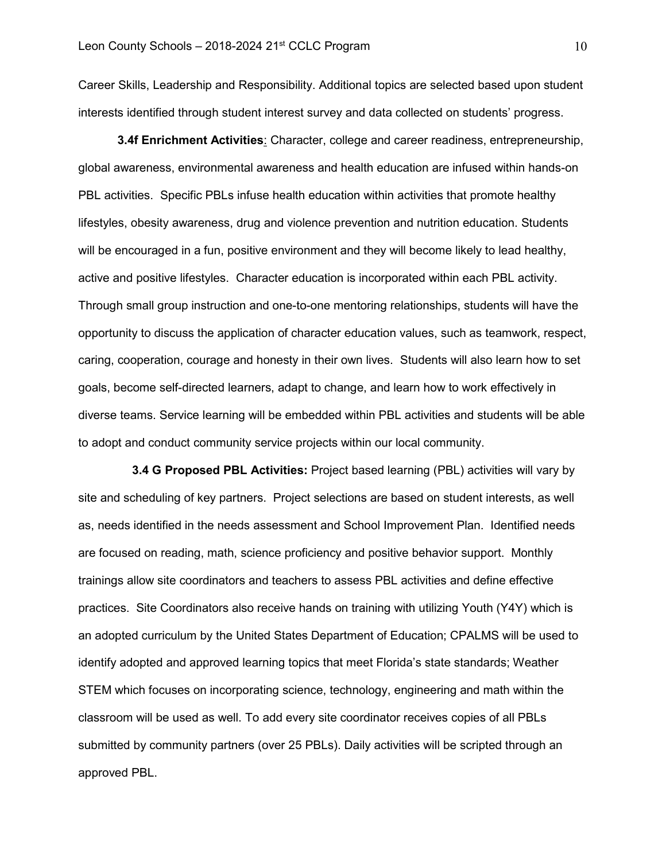Career Skills, Leadership and Responsibility. Additional topics are selected based upon student interests identified through student interest survey and data collected on students' progress.

**3.4f Enrichment Activities**: Character, college and career readiness, entrepreneurship, global awareness, environmental awareness and health education are infused within hands-on PBL activities. Specific PBLs infuse health education within activities that promote healthy lifestyles, obesity awareness, drug and violence prevention and nutrition education. Students will be encouraged in a fun, positive environment and they will become likely to lead healthy, active and positive lifestyles. Character education is incorporated within each PBL activity. Through small group instruction and one-to-one mentoring relationships, students will have the opportunity to discuss the application of character education values, such as teamwork, respect, caring, cooperation, courage and honesty in their own lives. Students will also learn how to set goals, become self-directed learners, adapt to change, and learn how to work effectively in diverse teams. Service learning will be embedded within PBL activities and students will be able to adopt and conduct community service projects within our local community.

**3.4 G Proposed PBL Activities:** Project based learning (PBL) activities will vary by site and scheduling of key partners. Project selections are based on student interests, as well as, needs identified in the needs assessment and School Improvement Plan. Identified needs are focused on reading, math, science proficiency and positive behavior support. Monthly trainings allow site coordinators and teachers to assess PBL activities and define effective practices. Site Coordinators also receive hands on training with utilizing Youth (Y4Y) which is an adopted curriculum by the United States Department of Education; CPALMS will be used to identify adopted and approved learning topics that meet Florida's state standards; Weather STEM which focuses on incorporating science, technology, engineering and math within the classroom will be used as well. To add every site coordinator receives copies of all PBLs submitted by community partners (over 25 PBLs). Daily activities will be scripted through an approved PBL.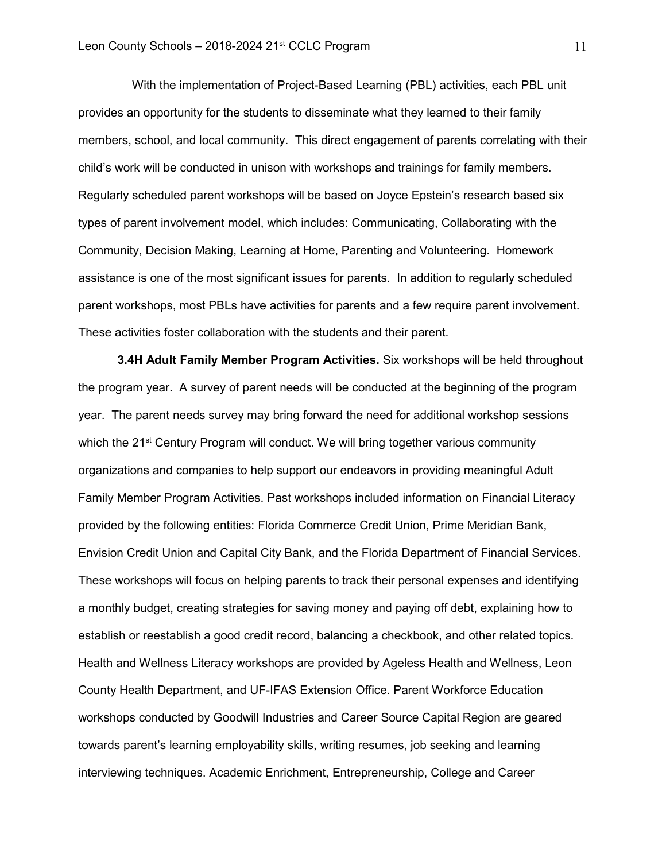With the implementation of Project-Based Learning (PBL) activities, each PBL unit provides an opportunity for the students to disseminate what they learned to their family members, school, and local community. This direct engagement of parents correlating with their child's work will be conducted in unison with workshops and trainings for family members. Regularly scheduled parent workshops will be based on Joyce Epstein's research based six types of parent involvement model, which includes: Communicating, Collaborating with the Community, Decision Making, Learning at Home, Parenting and Volunteering. Homework assistance is one of the most significant issues for parents. In addition to regularly scheduled parent workshops, most PBLs have activities for parents and a few require parent involvement. These activities foster collaboration with the students and their parent.

**3.4H Adult Family Member Program Activities.** Six workshops will be held throughout the program year. A survey of parent needs will be conducted at the beginning of the program year. The parent needs survey may bring forward the need for additional workshop sessions which the 21<sup>st</sup> Century Program will conduct. We will bring together various community organizations and companies to help support our endeavors in providing meaningful Adult Family Member Program Activities. Past workshops included information on Financial Literacy provided by the following entities: Florida Commerce Credit Union, Prime Meridian Bank, Envision Credit Union and Capital City Bank, and the Florida Department of Financial Services. These workshops will focus on helping parents to track their personal expenses and identifying a monthly budget, creating strategies for saving money and paying off debt, explaining how to establish or reestablish a good credit record, balancing a checkbook, and other related topics. Health and Wellness Literacy workshops are provided by Ageless Health and Wellness, Leon County Health Department, and UF-IFAS Extension Office. Parent Workforce Education workshops conducted by Goodwill Industries and Career Source Capital Region are geared towards parent's learning employability skills, writing resumes, job seeking and learning interviewing techniques. Academic Enrichment, Entrepreneurship, College and Career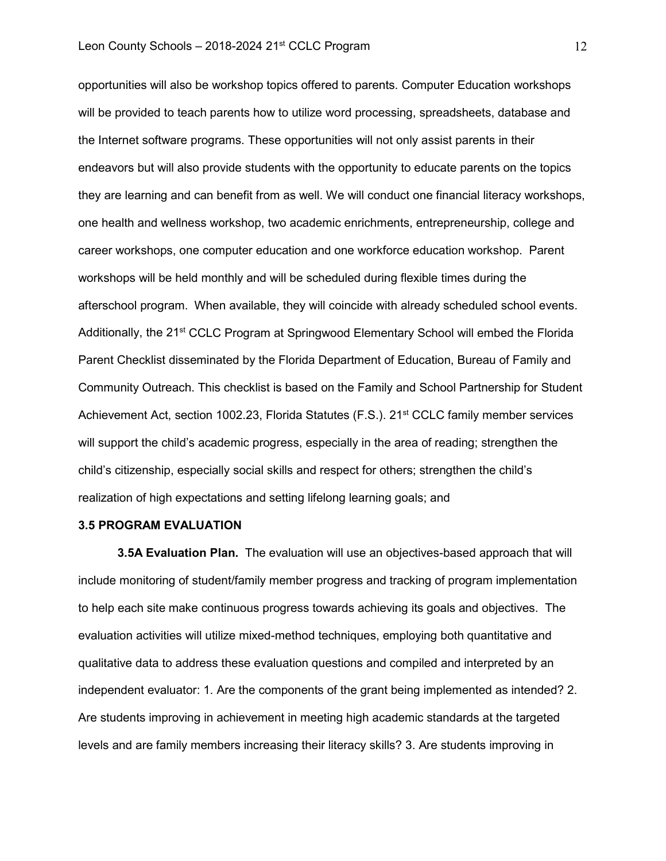opportunities will also be workshop topics offered to parents. Computer Education workshops will be provided to teach parents how to utilize word processing, spreadsheets, database and the Internet software programs. These opportunities will not only assist parents in their endeavors but will also provide students with the opportunity to educate parents on the topics they are learning and can benefit from as well. We will conduct one financial literacy workshops, one health and wellness workshop, two academic enrichments, entrepreneurship, college and career workshops, one computer education and one workforce education workshop. Parent workshops will be held monthly and will be scheduled during flexible times during the afterschool program. When available, they will coincide with already scheduled school events. Additionally, the 21<sup>st</sup> CCLC Program at Springwood Elementary School will embed the Florida Parent Checklist disseminated by the Florida Department of Education, Bureau of Family and Community Outreach. This checklist is based on the Family and School Partnership for Student Achievement Act, section 1002.23, Florida Statutes (F.S.). 21st CCLC family member services will support the child's academic progress, especially in the area of reading; strengthen the child's citizenship, especially social skills and respect for others; strengthen the child's realization of high expectations and setting lifelong learning goals; and

#### **3.5 PROGRAM EVALUATION**

**3.5A Evaluation Plan.** The evaluation will use an objectives-based approach that will include monitoring of student/family member progress and tracking of program implementation to help each site make continuous progress towards achieving its goals and objectives. The evaluation activities will utilize mixed-method techniques, employing both quantitative and qualitative data to address these evaluation questions and compiled and interpreted by an independent evaluator: 1. Are the components of the grant being implemented as intended? 2. Are students improving in achievement in meeting high academic standards at the targeted levels and are family members increasing their literacy skills? 3. Are students improving in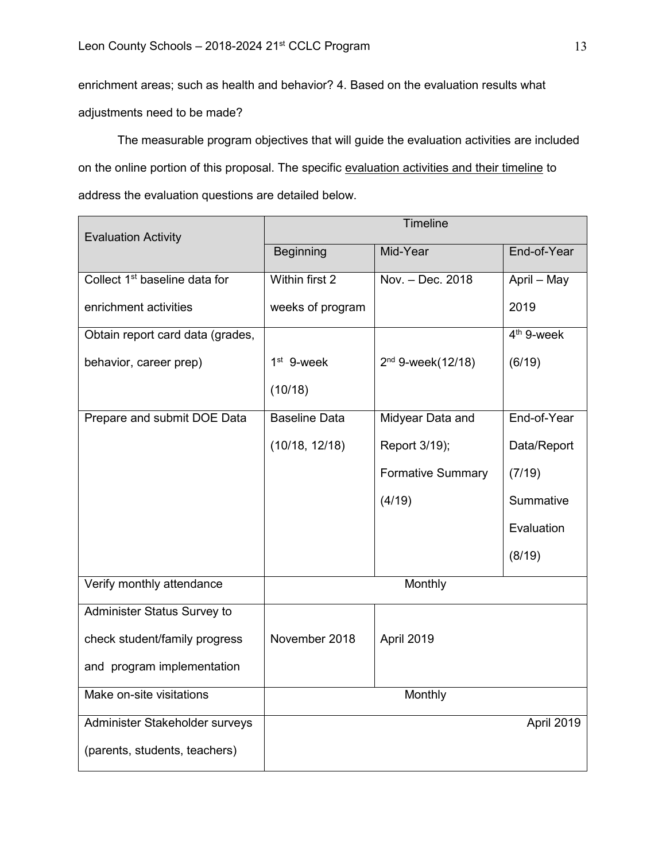enrichment areas; such as health and behavior? 4. Based on the evaluation results what adjustments need to be made?

The measurable program objectives that will guide the evaluation activities are included on the online portion of this proposal. The specific evaluation activities and their timeline to address the evaluation questions are detailed below.

| <b>Evaluation Activity</b>                | Timeline             |                          |              |
|-------------------------------------------|----------------------|--------------------------|--------------|
|                                           | <b>Beginning</b>     | Mid-Year                 | End-of-Year  |
| Collect 1 <sup>st</sup> baseline data for | Within first 2       | Nov. - Dec. 2018         | April - May  |
| enrichment activities                     | weeks of program     |                          | 2019         |
| Obtain report card data (grades,          |                      |                          | $4th$ 9-week |
| behavior, career prep)                    | $1st$ 9-week         | $2^{nd}$ 9-week(12/18)   | (6/19)       |
|                                           | (10/18)              |                          |              |
| Prepare and submit DOE Data               | <b>Baseline Data</b> | Midyear Data and         | End-of-Year  |
|                                           | (10/18, 12/18)       | Report 3/19);            | Data/Report  |
|                                           |                      | <b>Formative Summary</b> | (7/19)       |
|                                           |                      | (4/19)                   | Summative    |
|                                           |                      |                          | Evaluation   |
|                                           |                      |                          | (8/19)       |
| Verify monthly attendance                 | Monthly              |                          |              |
| Administer Status Survey to               |                      |                          |              |
| check student/family progress             | November 2018        | April 2019               |              |
| and program implementation                |                      |                          |              |
| Make on-site visitations                  |                      | Monthly                  |              |
| Administer Stakeholder surveys            |                      |                          | April 2019   |
| (parents, students, teachers)             |                      |                          |              |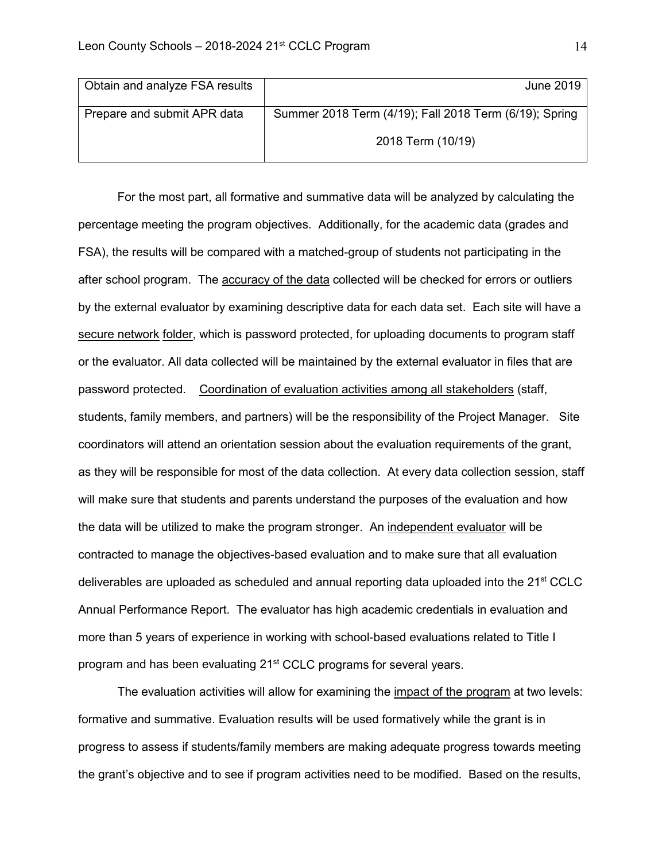| Obtain and analyze FSA results | June 2019                                              |  |
|--------------------------------|--------------------------------------------------------|--|
| Prepare and submit APR data    | Summer 2018 Term (4/19); Fall 2018 Term (6/19); Spring |  |
|                                | 2018 Term (10/19)                                      |  |

For the most part, all formative and summative data will be analyzed by calculating the percentage meeting the program objectives. Additionally, for the academic data (grades and FSA), the results will be compared with a matched-group of students not participating in the after school program. The **accuracy of the data** collected will be checked for errors or outliers by the external evaluator by examining descriptive data for each data set. Each site will have a secure network folder, which is password protected, for uploading documents to program staff or the evaluator. All data collected will be maintained by the external evaluator in files that are password protected. Coordination of evaluation activities among all stakeholders (staff, students, family members, and partners) will be the responsibility of the Project Manager. Site coordinators will attend an orientation session about the evaluation requirements of the grant, as they will be responsible for most of the data collection. At every data collection session, staff will make sure that students and parents understand the purposes of the evaluation and how the data will be utilized to make the program stronger. An independent evaluator will be contracted to manage the objectives-based evaluation and to make sure that all evaluation deliverables are uploaded as scheduled and annual reporting data uploaded into the 21<sup>st</sup> CCLC Annual Performance Report. The evaluator has high academic credentials in evaluation and more than 5 years of experience in working with school-based evaluations related to Title I program and has been evaluating 21<sup>st</sup> CCLC programs for several years.

The evaluation activities will allow for examining the impact of the program at two levels: formative and summative. Evaluation results will be used formatively while the grant is in progress to assess if students/family members are making adequate progress towards meeting the grant's objective and to see if program activities need to be modified. Based on the results,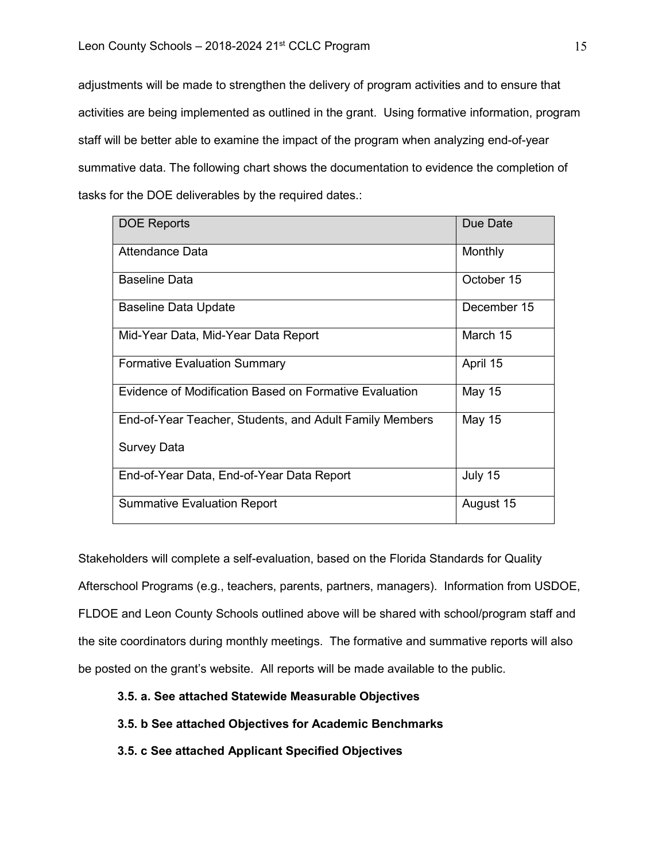adjustments will be made to strengthen the delivery of program activities and to ensure that activities are being implemented as outlined in the grant. Using formative information, program staff will be better able to examine the impact of the program when analyzing end-of-year summative data. The following chart shows the documentation to evidence the completion of tasks for the DOE deliverables by the required dates.:

| <b>DOE Reports</b>                                      | Due Date    |
|---------------------------------------------------------|-------------|
| Attendance Data                                         | Monthly     |
| <b>Baseline Data</b>                                    | October 15  |
| Baseline Data Update                                    | December 15 |
| Mid-Year Data, Mid-Year Data Report                     | March 15    |
| <b>Formative Evaluation Summary</b>                     | April 15    |
| Evidence of Modification Based on Formative Evaluation  | May 15      |
| End-of-Year Teacher, Students, and Adult Family Members | May 15      |
| <b>Survey Data</b>                                      |             |
| End-of-Year Data, End-of-Year Data Report               | July 15     |
| <b>Summative Evaluation Report</b>                      | August 15   |

Stakeholders will complete a self-evaluation, based on the Florida Standards for Quality Afterschool Programs (e.g., teachers, parents, partners, managers). Information from USDOE, FLDOE and Leon County Schools outlined above will be shared with school/program staff and the site coordinators during monthly meetings. The formative and summative reports will also be posted on the grant's website. All reports will be made available to the public.

### **3.5. a. See attached Statewide Measurable Objectives**

# **3.5. b See attached Objectives for Academic Benchmarks**

**3.5. c See attached Applicant Specified Objectives**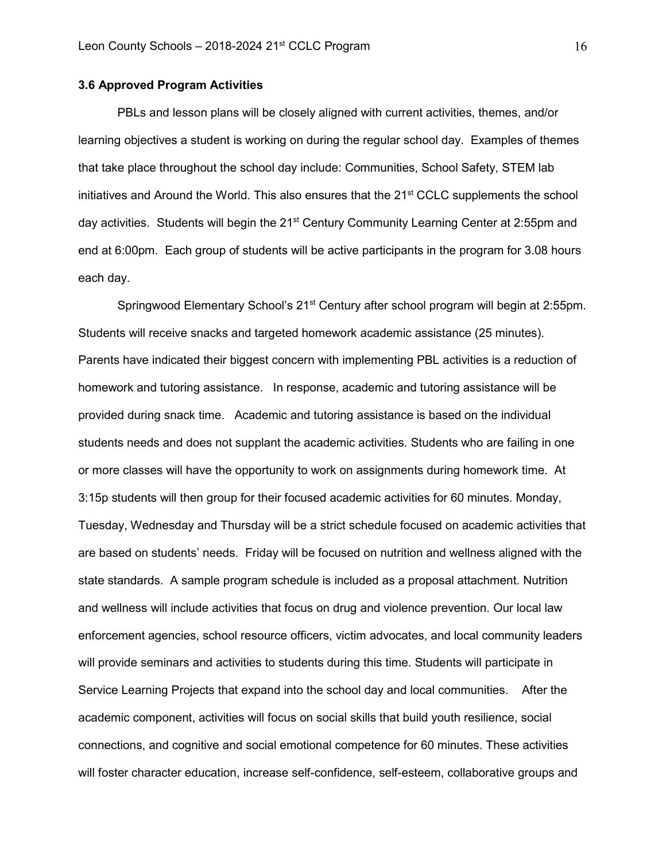### **3.6 Approved Program Activities**

PBLs and lesson plans will be closely aligned with current activities, themes, and/or learning objectives a student is working on during the regular school day. Examples of themes that take place throughout the school day include: Communities, School Safety, STEM lab initiatives and Around the World. This also ensures that the 21<sup>st</sup> CCLC supplements the school day activities. Students will begin the 21<sup>st</sup> Century Community Learning Center at 2:55pm and end at 6:00pm. Each group of students will be active participants in the program for 3.08 hours each day.

Springwood Elementary School's 21<sup>st</sup> Century after school program will begin at 2:55pm. Students will receive snacks and targeted homework academic assistance (25 minutes). Parents have indicated their biggest concern with implementing PBL activities is a reduction of homework and tutoring assistance. In response, academic and tutoring assistance will be provided during snack time. Academic and tutoring assistance is based on the individual students needs and does not supplant the academic activities. Students who are failing in one or more classes will have the opportunity to work on assignments during homework time. At 3:15p students will then group for their focused academic activities for 60 minutes. Monday, Tuesday, Wednesday and Thursday will be a strict schedule focused on academic activities that are based on students' needs. Friday will be focused on nutrition and wellness aligned with the state standards. A sample program schedule is included as a proposal attachment. Nutrition and wellness will include activities that focus on drug and violence prevention. Our local law enforcement agencies, school resource officers, victim advocates, and local community leaders will provide seminars and activities to students during this time. Students will participate in Service Learning Projects that expand into the school day and local communities. After the academic component, activities will focus on social skills that build youth resilience, social connections, and cognitive and social emotional competence for 60 minutes. These activities will foster character education, increase self-confidence, self-esteem, collaborative groups and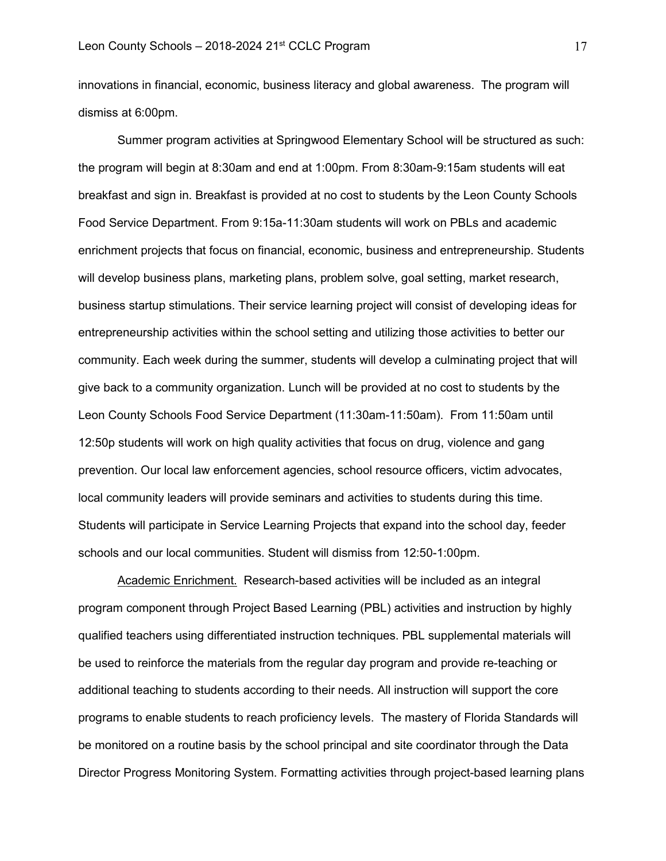innovations in financial, economic, business literacy and global awareness. The program will dismiss at 6:00pm.

Summer program activities at Springwood Elementary School will be structured as such: the program will begin at 8:30am and end at 1:00pm. From 8:30am-9:15am students will eat breakfast and sign in. Breakfast is provided at no cost to students by the Leon County Schools Food Service Department. From 9:15a-11:30am students will work on PBLs and academic enrichment projects that focus on financial, economic, business and entrepreneurship. Students will develop business plans, marketing plans, problem solve, goal setting, market research, business startup stimulations. Their service learning project will consist of developing ideas for entrepreneurship activities within the school setting and utilizing those activities to better our community. Each week during the summer, students will develop a culminating project that will give back to a community organization. Lunch will be provided at no cost to students by the Leon County Schools Food Service Department (11:30am-11:50am). From 11:50am until 12:50p students will work on high quality activities that focus on drug, violence and gang prevention. Our local law enforcement agencies, school resource officers, victim advocates, local community leaders will provide seminars and activities to students during this time. Students will participate in Service Learning Projects that expand into the school day, feeder schools and our local communities. Student will dismiss from 12:50-1:00pm.

Academic Enrichment.Research-based activities will be included as an integral program component through Project Based Learning (PBL) activities and instruction by highly qualified teachers using differentiated instruction techniques. PBL supplemental materials will be used to reinforce the materials from the regular day program and provide re-teaching or additional teaching to students according to their needs. All instruction will support the core programs to enable students to reach proficiency levels. The mastery of Florida Standards will be monitored on a routine basis by the school principal and site coordinator through the Data Director Progress Monitoring System. Formatting activities through project-based learning plans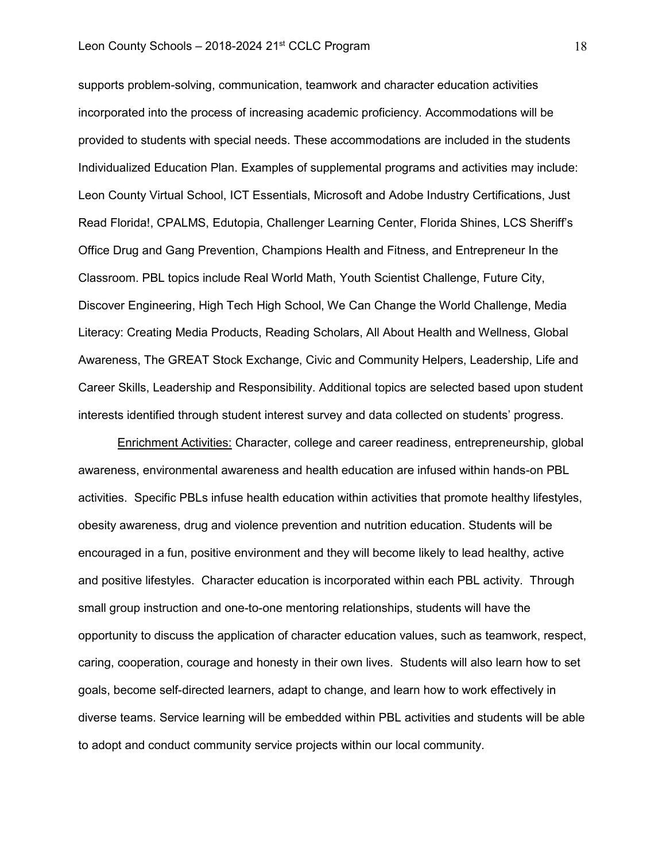# Leon County Schools – 2018-2024 21<sup>st</sup> CCLC Program 18

supports problem-solving, communication, teamwork and character education activities incorporated into the process of increasing academic proficiency. Accommodations will be provided to students with special needs. These accommodations are included in the students Individualized Education Plan. Examples of supplemental programs and activities may include: Leon County Virtual School, ICT Essentials, Microsoft and Adobe Industry Certifications, Just Read Florida!, CPALMS, Edutopia, Challenger Learning Center, Florida Shines, LCS Sheriff's Office Drug and Gang Prevention, Champions Health and Fitness, and Entrepreneur In the Classroom. PBL topics include Real World Math, Youth Scientist Challenge, Future City, Discover Engineering, High Tech High School, We Can Change the World Challenge, Media Literacy: Creating Media Products, Reading Scholars, All About Health and Wellness, Global Awareness, The GREAT Stock Exchange, Civic and Community Helpers, Leadership, Life and Career Skills, Leadership and Responsibility. Additional topics are selected based upon student interests identified through student interest survey and data collected on students' progress.

**Enrichment Activities: Character, college and career readiness, entrepreneurship, global** awareness, environmental awareness and health education are infused within hands-on PBL activities. Specific PBLs infuse health education within activities that promote healthy lifestyles, obesity awareness, drug and violence prevention and nutrition education. Students will be encouraged in a fun, positive environment and they will become likely to lead healthy, active and positive lifestyles. Character education is incorporated within each PBL activity. Through small group instruction and one-to-one mentoring relationships, students will have the opportunity to discuss the application of character education values, such as teamwork, respect, caring, cooperation, courage and honesty in their own lives. Students will also learn how to set goals, become self-directed learners, adapt to change, and learn how to work effectively in diverse teams. Service learning will be embedded within PBL activities and students will be able to adopt and conduct community service projects within our local community.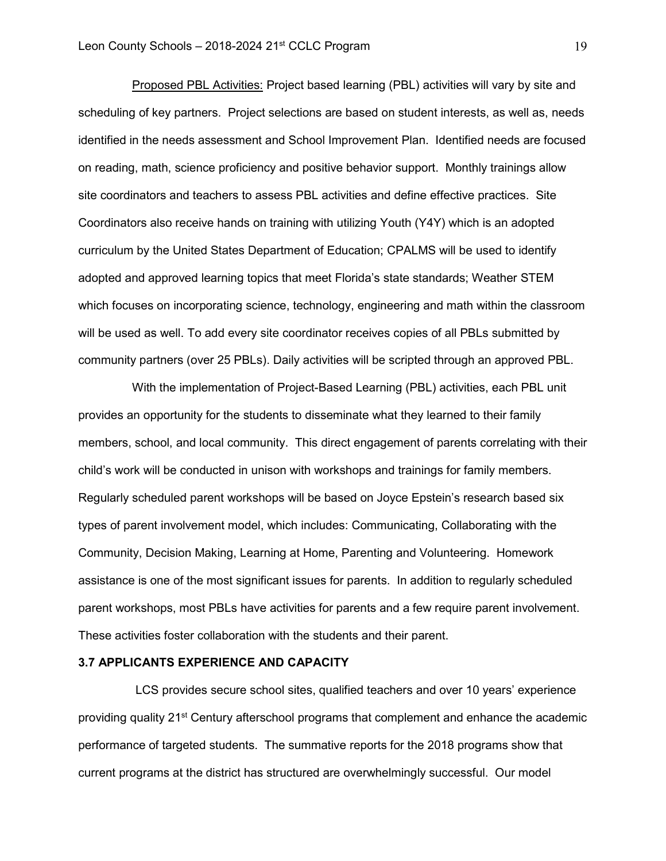Proposed PBL Activities: Project based learning (PBL) activities will vary by site and scheduling of key partners. Project selections are based on student interests, as well as, needs identified in the needs assessment and School Improvement Plan. Identified needs are focused on reading, math, science proficiency and positive behavior support. Monthly trainings allow site coordinators and teachers to assess PBL activities and define effective practices. Site Coordinators also receive hands on training with utilizing Youth (Y4Y) which is an adopted curriculum by the United States Department of Education; CPALMS will be used to identify adopted and approved learning topics that meet Florida's state standards; Weather STEM which focuses on incorporating science, technology, engineering and math within the classroom will be used as well. To add every site coordinator receives copies of all PBLs submitted by community partners (over 25 PBLs). Daily activities will be scripted through an approved PBL.

With the implementation of Project-Based Learning (PBL) activities, each PBL unit provides an opportunity for the students to disseminate what they learned to their family members, school, and local community. This direct engagement of parents correlating with their child's work will be conducted in unison with workshops and trainings for family members. Regularly scheduled parent workshops will be based on Joyce Epstein's research based six types of parent involvement model, which includes: Communicating, Collaborating with the Community, Decision Making, Learning at Home, Parenting and Volunteering. Homework assistance is one of the most significant issues for parents. In addition to regularly scheduled parent workshops, most PBLs have activities for parents and a few require parent involvement. These activities foster collaboration with the students and their parent.

### **3.7 APPLICANTS EXPERIENCE AND CAPACITY**

LCS provides secure school sites, qualified teachers and over 10 years' experience providing quality 21<sup>st</sup> Century afterschool programs that complement and enhance the academic performance of targeted students. The summative reports for the 2018 programs show that current programs at the district has structured are overwhelmingly successful. Our model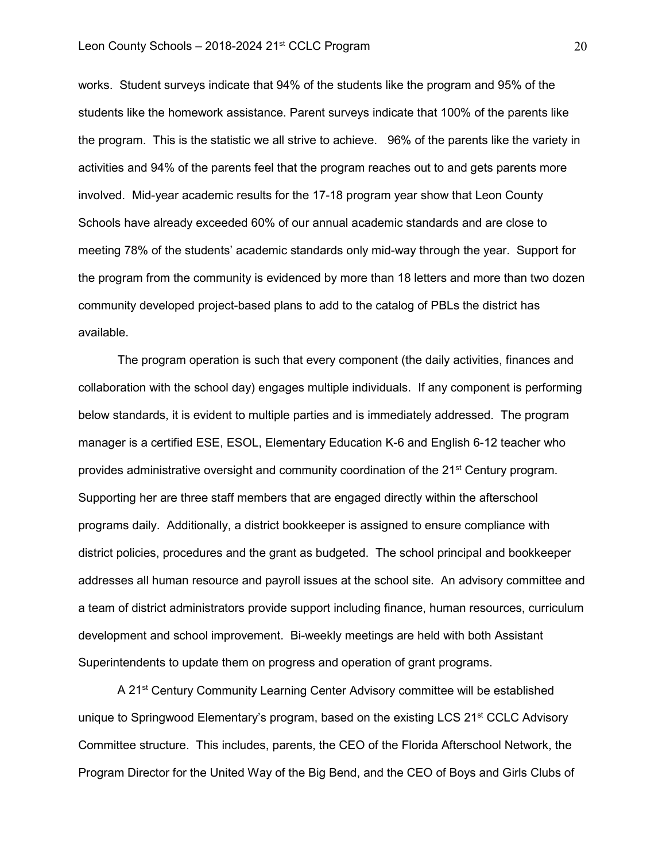works. Student surveys indicate that 94% of the students like the program and 95% of the students like the homework assistance. Parent surveys indicate that 100% of the parents like the program. This is the statistic we all strive to achieve. 96% of the parents like the variety in activities and 94% of the parents feel that the program reaches out to and gets parents more involved. Mid-year academic results for the 17-18 program year show that Leon County Schools have already exceeded 60% of our annual academic standards and are close to meeting 78% of the students' academic standards only mid-way through the year. Support for the program from the community is evidenced by more than 18 letters and more than two dozen community developed project-based plans to add to the catalog of PBLs the district has available.

The program operation is such that every component (the daily activities, finances and collaboration with the school day) engages multiple individuals. If any component is performing below standards, it is evident to multiple parties and is immediately addressed. The program manager is a certified ESE, ESOL, Elementary Education K-6 and English 6-12 teacher who provides administrative oversight and community coordination of the 21<sup>st</sup> Century program. Supporting her are three staff members that are engaged directly within the afterschool programs daily. Additionally, a district bookkeeper is assigned to ensure compliance with district policies, procedures and the grant as budgeted. The school principal and bookkeeper addresses all human resource and payroll issues at the school site. An advisory committee and a team of district administrators provide support including finance, human resources, curriculum development and school improvement. Bi-weekly meetings are held with both Assistant Superintendents to update them on progress and operation of grant programs.

A 21<sup>st</sup> Century Community Learning Center Advisory committee will be established unique to Springwood Elementary's program, based on the existing LCS 21<sup>st</sup> CCLC Advisory Committee structure. This includes, parents, the CEO of the Florida Afterschool Network, the Program Director for the United Way of the Big Bend, and the CEO of Boys and Girls Clubs of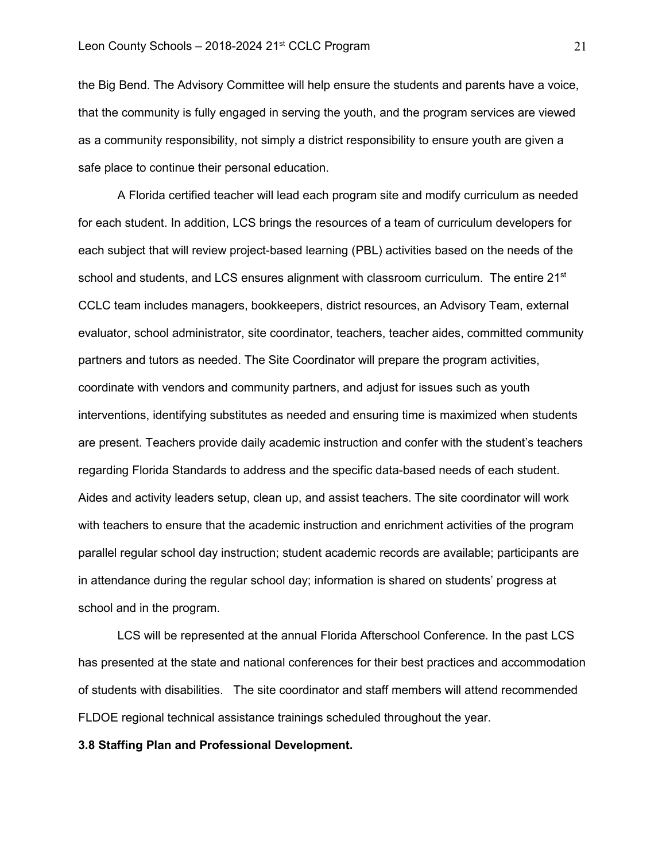the Big Bend. The Advisory Committee will help ensure the students and parents have a voice, that the community is fully engaged in serving the youth, and the program services are viewed as a community responsibility, not simply a district responsibility to ensure youth are given a safe place to continue their personal education.

A Florida certified teacher will lead each program site and modify curriculum as needed for each student. In addition, LCS brings the resources of a team of curriculum developers for each subject that will review project-based learning (PBL) activities based on the needs of the school and students, and LCS ensures alignment with classroom curriculum. The entire 21<sup>st</sup> CCLC team includes managers, bookkeepers, district resources, an Advisory Team, external evaluator, school administrator, site coordinator, teachers, teacher aides, committed community partners and tutors as needed. The Site Coordinator will prepare the program activities, coordinate with vendors and community partners, and adjust for issues such as youth interventions, identifying substitutes as needed and ensuring time is maximized when students are present. Teachers provide daily academic instruction and confer with the student's teachers regarding Florida Standards to address and the specific data-based needs of each student. Aides and activity leaders setup, clean up, and assist teachers. The site coordinator will work with teachers to ensure that the academic instruction and enrichment activities of the program parallel regular school day instruction; student academic records are available; participants are in attendance during the regular school day; information is shared on students' progress at school and in the program.

LCS will be represented at the annual Florida Afterschool Conference. In the past LCS has presented at the state and national conferences for their best practices and accommodation of students with disabilities. The site coordinator and staff members will attend recommended FLDOE regional technical assistance trainings scheduled throughout the year.

#### **3.8 Staffing Plan and Professional Development.**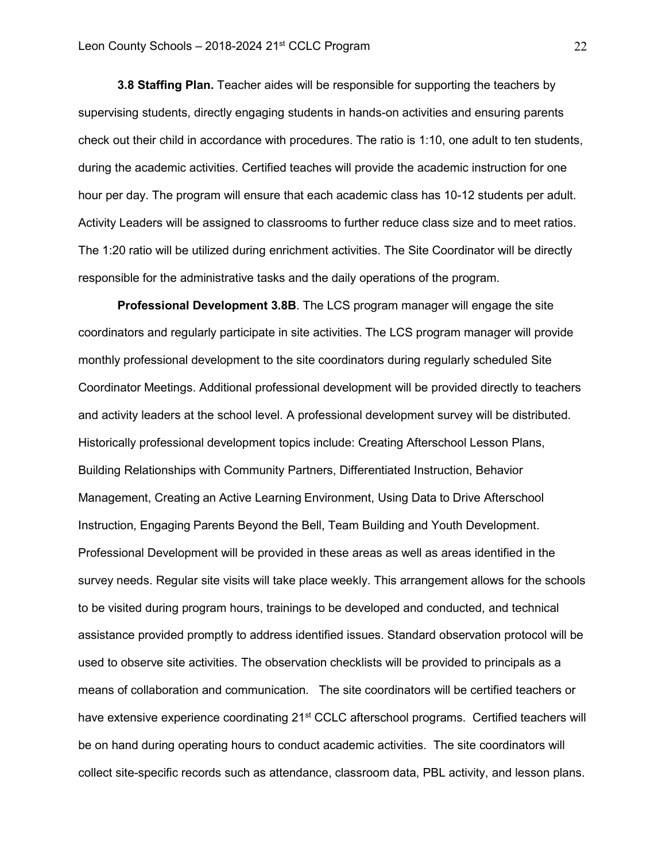**3.8 Staffing Plan.** Teacher aides will be responsible for supporting the teachers by supervising students, directly engaging students in hands-on activities and ensuring parents check out their child in accordance with procedures. The ratio is 1:10, one adult to ten students, during the academic activities. Certified teaches will provide the academic instruction for one hour per day. The program will ensure that each academic class has 10-12 students per adult. Activity Leaders will be assigned to classrooms to further reduce class size and to meet ratios. The 1:20 ratio will be utilized during enrichment activities. The Site Coordinator will be directly responsible for the administrative tasks and the daily operations of the program.

**Professional Development 3.8B**. The LCS program manager will engage the site coordinators and regularly participate in site activities. The LCS program manager will provide monthly professional development to the site coordinators during regularly scheduled Site Coordinator Meetings. Additional professional development will be provided directly to teachers and activity leaders at the school level. A professional development survey will be distributed. Historically professional development topics include: Creating Afterschool Lesson Plans, Building Relationships with Community Partners, Differentiated Instruction, Behavior Management, Creating an Active Learning Environment, Using Data to Drive Afterschool Instruction, Engaging Parents Beyond the Bell, Team Building and Youth Development. Professional Development will be provided in these areas as well as areas identified in the survey needs. Regular site visits will take place weekly. This arrangement allows for the schools to be visited during program hours, trainings to be developed and conducted, and technical assistance provided promptly to address identified issues. Standard observation protocol will be used to observe site activities. The observation checklists will be provided to principals as a means of collaboration and communication. The site coordinators will be certified teachers or have extensive experience coordinating 21<sup>st</sup> CCLC afterschool programs. Certified teachers will be on hand during operating hours to conduct academic activities. The site coordinators will collect site-specific records such as attendance, classroom data, PBL activity, and lesson plans.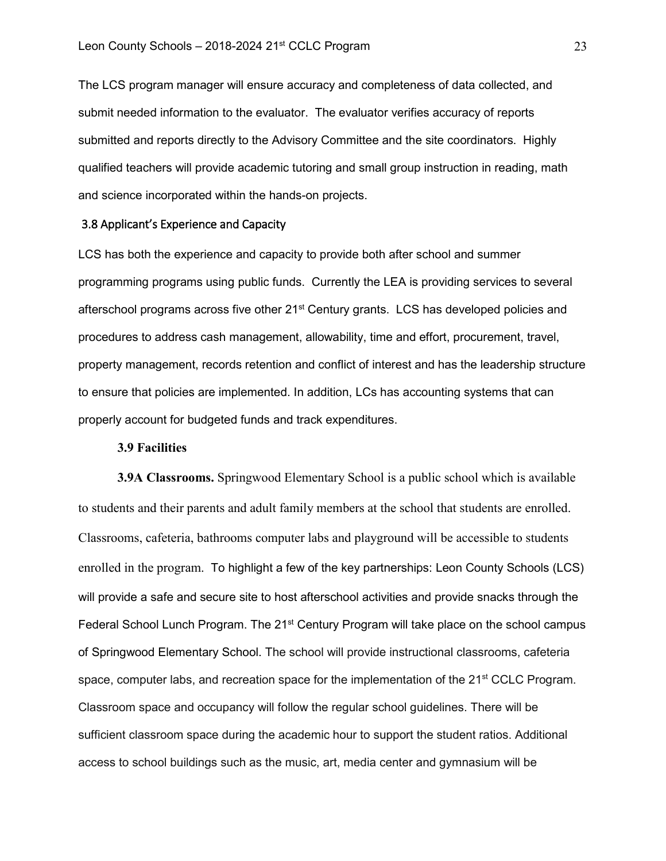The LCS program manager will ensure accuracy and completeness of data collected, and submit needed information to the evaluator. The evaluator verifies accuracy of reports submitted and reports directly to the Advisory Committee and the site coordinators. Highly qualified teachers will provide academic tutoring and small group instruction in reading, math and science incorporated within the hands-on projects.

### 3.8 Applicant's Experience and Capacity

LCS has both the experience and capacity to provide both after school and summer programming programs using public funds. Currently the LEA is providing services to several afterschool programs across five other 21st Century grants. LCS has developed policies and procedures to address cash management, allowability, time and effort, procurement, travel, property management, records retention and conflict of interest and has the leadership structure to ensure that policies are implemented. In addition, LCs has accounting systems that can properly account for budgeted funds and track expenditures.

## **3.9 Facilities**

**3.9A Classrooms.** Springwood Elementary School is a public school which is available to students and their parents and adult family members at the school that students are enrolled. Classrooms, cafeteria, bathrooms computer labs and playground will be accessible to students enrolled in the program. To highlight a few of the key partnerships: Leon County Schools (LCS) will provide a safe and secure site to host afterschool activities and provide snacks through the Federal School Lunch Program. The  $21<sup>st</sup>$  Century Program will take place on the school campus of Springwood Elementary School. The school will provide instructional classrooms, cafeteria space, computer labs, and recreation space for the implementation of the 21<sup>st</sup> CCLC Program. Classroom space and occupancy will follow the regular school guidelines. There will be sufficient classroom space during the academic hour to support the student ratios. Additional access to school buildings such as the music, art, media center and gymnasium will be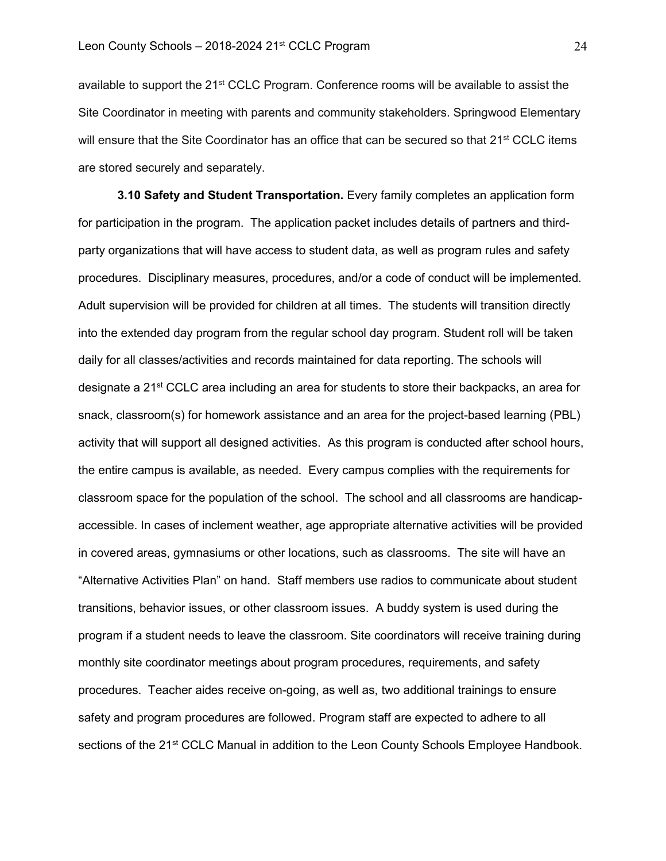available to support the 21<sup>st</sup> CCLC Program. Conference rooms will be available to assist the Site Coordinator in meeting with parents and community stakeholders. Springwood Elementary will ensure that the Site Coordinator has an office that can be secured so that 21<sup>st</sup> CCLC items are stored securely and separately.

**3.10 Safety and Student Transportation.** Every family completes an application form for participation in the program. The application packet includes details of partners and thirdparty organizations that will have access to student data, as well as program rules and safety procedures. Disciplinary measures, procedures, and/or a code of conduct will be implemented. Adult supervision will be provided for children at all times. The students will transition directly into the extended day program from the regular school day program. Student roll will be taken daily for all classes/activities and records maintained for data reporting. The schools will designate a 21<sup>st</sup> CCLC area including an area for students to store their backpacks, an area for snack, classroom(s) for homework assistance and an area for the project-based learning (PBL) activity that will support all designed activities. As this program is conducted after school hours, the entire campus is available, as needed. Every campus complies with the requirements for classroom space for the population of the school. The school and all classrooms are handicapaccessible. In cases of inclement weather, age appropriate alternative activities will be provided in covered areas, gymnasiums or other locations, such as classrooms. The site will have an "Alternative Activities Plan" on hand. Staff members use radios to communicate about student transitions, behavior issues, or other classroom issues. A buddy system is used during the program if a student needs to leave the classroom. Site coordinators will receive training during monthly site coordinator meetings about program procedures, requirements, and safety procedures. Teacher aides receive on-going, as well as, two additional trainings to ensure safety and program procedures are followed. Program staff are expected to adhere to all sections of the 21<sup>st</sup> CCLC Manual in addition to the Leon County Schools Employee Handbook.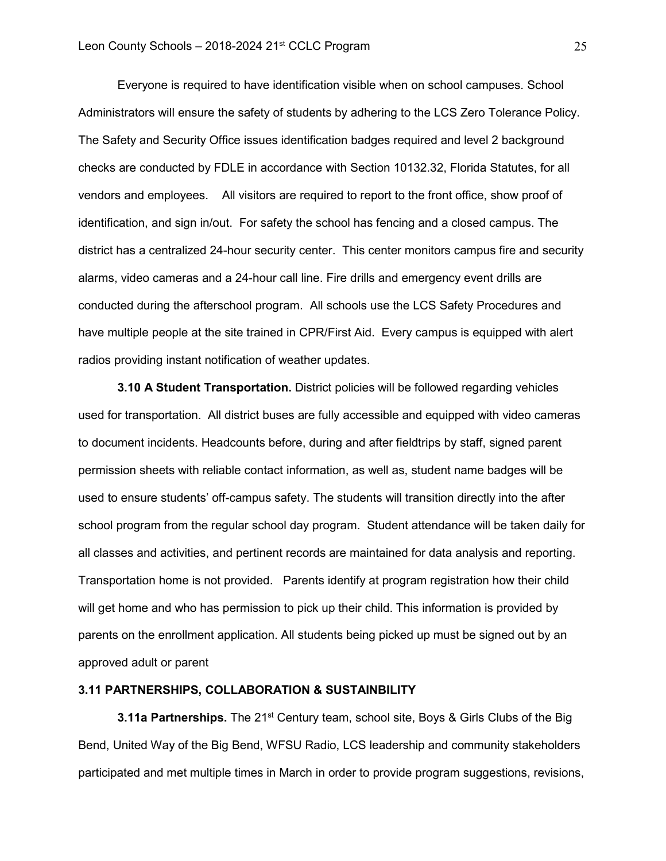Everyone is required to have identification visible when on school campuses. School Administrators will ensure the safety of students by adhering to the LCS Zero Tolerance Policy. The Safety and Security Office issues identification badges required and level 2 background checks are conducted by FDLE in accordance with Section 10132.32, Florida Statutes, for all vendors and employees. All visitors are required to report to the front office, show proof of identification, and sign in/out. For safety the school has fencing and a closed campus. The district has a centralized 24-hour security center. This center monitors campus fire and security alarms, video cameras and a 24-hour call line. Fire drills and emergency event drills are conducted during the afterschool program. All schools use the LCS Safety Procedures and have multiple people at the site trained in CPR/First Aid. Every campus is equipped with alert radios providing instant notification of weather updates.

**3.10 A Student Transportation.** District policies will be followed regarding vehicles used for transportation. All district buses are fully accessible and equipped with video cameras to document incidents. Headcounts before, during and after fieldtrips by staff, signed parent permission sheets with reliable contact information, as well as, student name badges will be used to ensure students' off-campus safety. The students will transition directly into the after school program from the regular school day program. Student attendance will be taken daily for all classes and activities, and pertinent records are maintained for data analysis and reporting. Transportation home is not provided. Parents identify at program registration how their child will get home and who has permission to pick up their child. This information is provided by parents on the enrollment application. All students being picked up must be signed out by an approved adult or parent

### **3.11 PARTNERSHIPS, COLLABORATION & SUSTAINBILITY**

**3.11a Partnerships.** The 21<sup>st</sup> Century team, school site, Boys & Girls Clubs of the Big Bend, United Way of the Big Bend, WFSU Radio, LCS leadership and community stakeholders participated and met multiple times in March in order to provide program suggestions, revisions,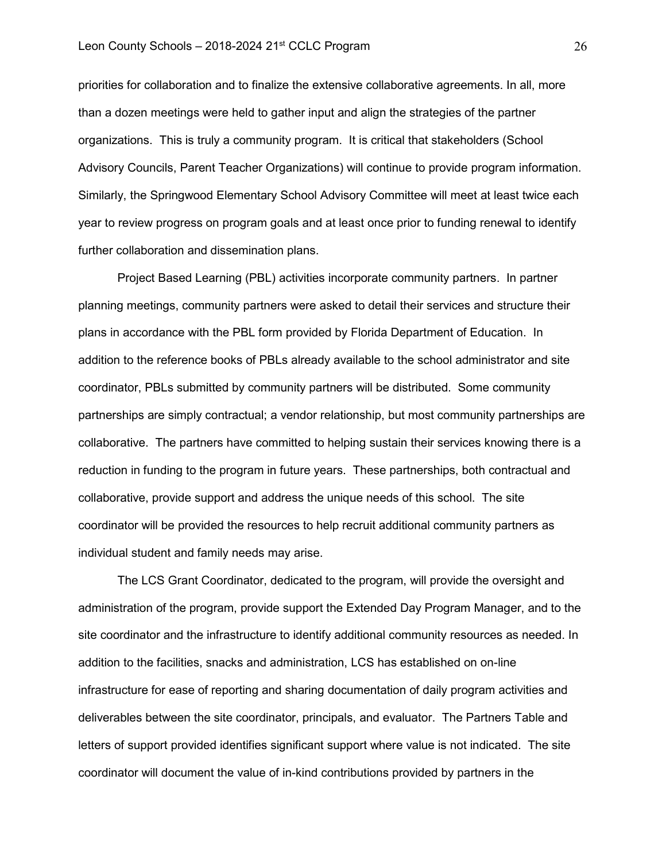priorities for collaboration and to finalize the extensive collaborative agreements. In all, more than a dozen meetings were held to gather input and align the strategies of the partner organizations. This is truly a community program. It is critical that stakeholders (School Advisory Councils, Parent Teacher Organizations) will continue to provide program information. Similarly, the Springwood Elementary School Advisory Committee will meet at least twice each year to review progress on program goals and at least once prior to funding renewal to identify further collaboration and dissemination plans.

Project Based Learning (PBL) activities incorporate community partners. In partner planning meetings, community partners were asked to detail their services and structure their plans in accordance with the PBL form provided by Florida Department of Education. In addition to the reference books of PBLs already available to the school administrator and site coordinator, PBLs submitted by community partners will be distributed. Some community partnerships are simply contractual; a vendor relationship, but most community partnerships are collaborative. The partners have committed to helping sustain their services knowing there is a reduction in funding to the program in future years. These partnerships, both contractual and collaborative, provide support and address the unique needs of this school. The site coordinator will be provided the resources to help recruit additional community partners as individual student and family needs may arise.

The LCS Grant Coordinator, dedicated to the program, will provide the oversight and administration of the program, provide support the Extended Day Program Manager, and to the site coordinator and the infrastructure to identify additional community resources as needed. In addition to the facilities, snacks and administration, LCS has established on on-line infrastructure for ease of reporting and sharing documentation of daily program activities and deliverables between the site coordinator, principals, and evaluator. The Partners Table and letters of support provided identifies significant support where value is not indicated. The site coordinator will document the value of in-kind contributions provided by partners in the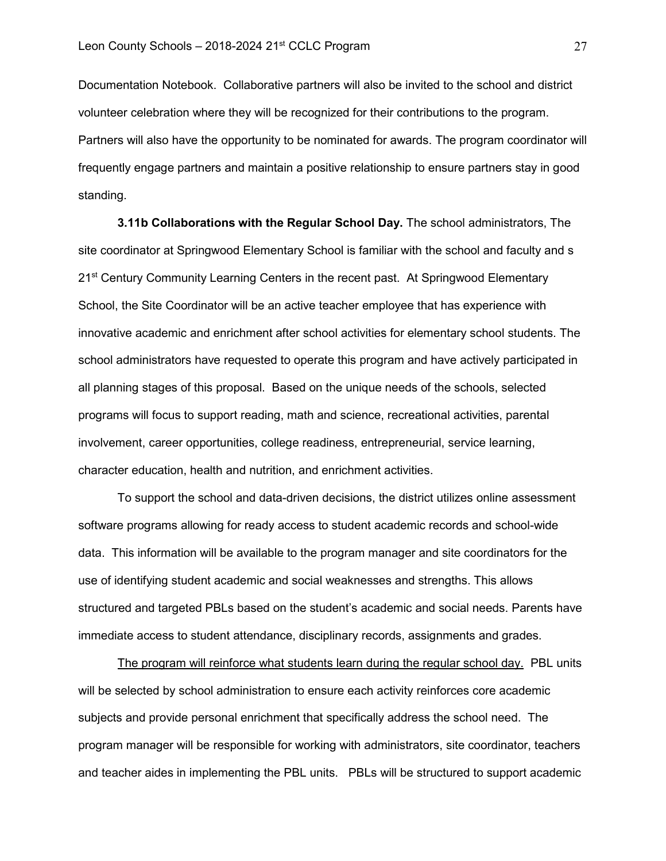Documentation Notebook. Collaborative partners will also be invited to the school and district volunteer celebration where they will be recognized for their contributions to the program. Partners will also have the opportunity to be nominated for awards. The program coordinator will frequently engage partners and maintain a positive relationship to ensure partners stay in good standing.

**3.11b Collaborations with the Regular School Day.** The school administrators, The site coordinator at Springwood Elementary School is familiar with the school and faculty and s 21<sup>st</sup> Century Community Learning Centers in the recent past. At Springwood Elementary School, the Site Coordinator will be an active teacher employee that has experience with innovative academic and enrichment after school activities for elementary school students. The school administrators have requested to operate this program and have actively participated in all planning stages of this proposal. Based on the unique needs of the schools, selected programs will focus to support reading, math and science, recreational activities, parental involvement, career opportunities, college readiness, entrepreneurial, service learning, character education, health and nutrition, and enrichment activities.

To support the school and data-driven decisions, the district utilizes online assessment software programs allowing for ready access to student academic records and school-wide data. This information will be available to the program manager and site coordinators for the use of identifying student academic and social weaknesses and strengths. This allows structured and targeted PBLs based on the student's academic and social needs. Parents have immediate access to student attendance, disciplinary records, assignments and grades.

The program will reinforce what students learn during the regular school day. PBL units will be selected by school administration to ensure each activity reinforces core academic subjects and provide personal enrichment that specifically address the school need. The program manager will be responsible for working with administrators, site coordinator, teachers and teacher aides in implementing the PBL units. PBLs will be structured to support academic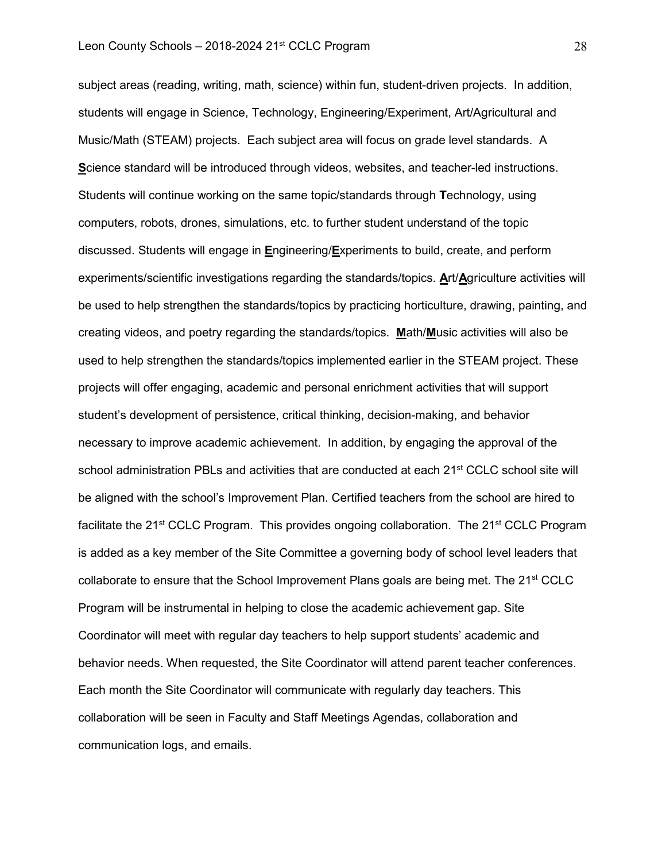subject areas (reading, writing, math, science) within fun, student-driven projects. In addition, students will engage in Science, Technology, Engineering/Experiment, Art/Agricultural and Music/Math (STEAM) projects. Each subject area will focus on grade level standards. A **S**cience standard will be introduced through videos, websites, and teacher-led instructions. Students will continue working on the same topic/standards through **T**echnology, using computers, robots, drones, simulations, etc. to further student understand of the topic discussed. Students will engage in **E**ngineering/**E**xperiments to build, create, and perform experiments/scientific investigations regarding the standards/topics. **A**rt/**A**griculture activities will be used to help strengthen the standards/topics by practicing horticulture, drawing, painting, and creating videos, and poetry regarding the standards/topics. **M**ath/**M**usic activities will also be used to help strengthen the standards/topics implemented earlier in the STEAM project. These projects will offer engaging, academic and personal enrichment activities that will support student's development of persistence, critical thinking, decision-making, and behavior necessary to improve academic achievement. In addition, by engaging the approval of the school administration PBLs and activities that are conducted at each 21<sup>st</sup> CCLC school site will be aligned with the school's Improvement Plan. Certified teachers from the school are hired to facilitate the 21<sup>st</sup> CCLC Program. This provides ongoing collaboration. The 21<sup>st</sup> CCLC Program is added as a key member of the Site Committee a governing body of school level leaders that collaborate to ensure that the School Improvement Plans goals are being met. The 21<sup>st</sup> CCLC Program will be instrumental in helping to close the academic achievement gap. Site Coordinator will meet with regular day teachers to help support students' academic and behavior needs. When requested, the Site Coordinator will attend parent teacher conferences. Each month the Site Coordinator will communicate with regularly day teachers. This collaboration will be seen in Faculty and Staff Meetings Agendas, collaboration and communication logs, and emails.